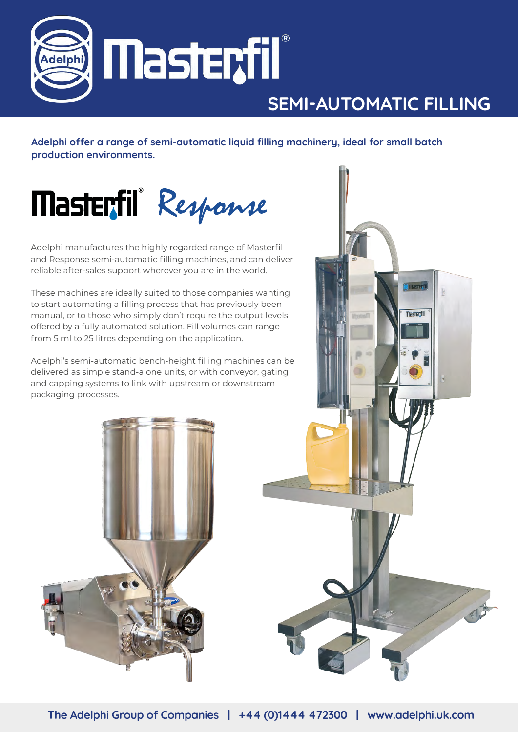

### **SEMI-AUTOMATIC FILLING**

**Adelphi offer a range of semi-automatic liquid filling machinery, ideal for small batch production environments.**



Adelphi manufactures the highly regarded range of Masterfil and Response semi-automatic filling machines, and can deliver reliable after-sales support wherever you are in the world.

These machines are ideally suited to those companies wanting to start automating a filling process that has previously been manual, or to those who simply don't require the output levels offered by a fully automated solution. Fill volumes can range from 5  ml to 25 litres depending on the application.

Adelphi's semi-automatic bench-height filling machines can be delivered as simple stand-alone units, or with conveyor, gating and capping systems to link with upstream or downstream packaging processes.



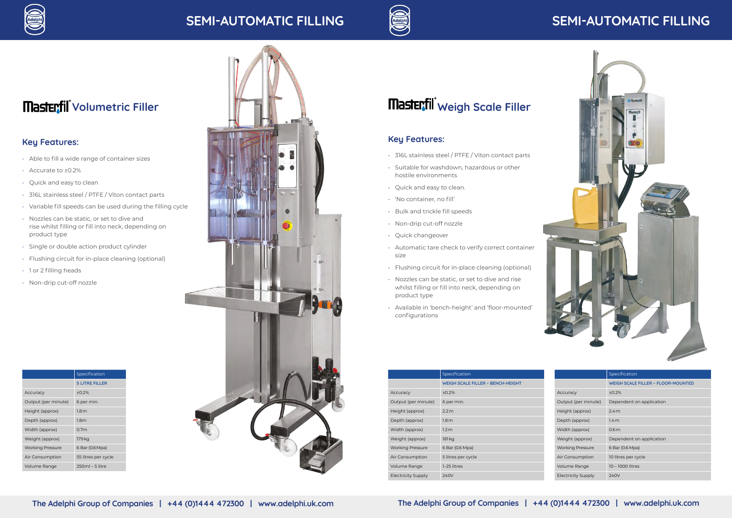



## **Masterfil Volumetric Filler**

#### **Key Features:**

- Able to fill a wide range of container sizes
- Accurate to ±0.2%
- Quick and easy to clean
- 316L stainless steel / PTFE / Viton contact parts
- Variable fill speeds can be used during the filling cycle
- Nozzles can be static, or set to dive and rise whilst filling or fill into neck, depending on product type
- Single or double action product cylinder
- Flushing circuit for in-place cleaning (optional)
- 1 or 2 filling heads
- Non-drip cut-off nozzle

# **Weigh Scale Filler**

#### **Key Features:**

- 316L stainless steel / PTFE / Viton contact parts
- Suitable for washdown, hazardous or other hostile environments
- Quick and easy to clean.
- 'No container, no fill'
- Bulk and trickle fill speeds
- Non-drip cut-off nozzle
- Quick changeover
- Automatic tare check to verify correct container size
- Flushing circuit for in-place cleaning (optional)
- Nozzles can be static, or set to dive and rise whilst filling or fill into neck, depending on product type
- Available in 'bench-height' and 'floor-mounted' configurations

|                         | Specification         |
|-------------------------|-----------------------|
|                         | <b>5 LITRE FILLER</b> |
| Accuracy                | $+0.2%$               |
| Output (per minute)     | 6 per min.            |
| Height (approx)         | 1.8 <sub>m</sub>      |
| Depth (approx)          | 1.8 <sub>m</sub>      |
| Width (approx)          | 0.7 <sub>m</sub>      |
| Weight (approx)         | 179 kg                |
| <b>Working Pressure</b> | 6 Bar (0.6 Mpa)       |
| Air Consumption         | 55 litres per cycle   |
| Volume Range            | $250ml - 5$ litre     |



|                           | Specification                            |
|---------------------------|------------------------------------------|
|                           | <b>WEIGH SCALE FILLER - BENCH-HEIGHT</b> |
| Accuracy                  | $+0.2%$                                  |
| Output (per minute)       | 6 per min.                               |
| Height (approx)           | 2.2 <sub>m</sub>                         |
| Depth (approx)            | 1.8 <sub>m</sub>                         |
| Width (approx)            | 1.2 <sub>m</sub>                         |
| Weight (approx)           | 181 kg                                   |
| <b>Working Pressure</b>   | 6 Bar (0.6 Mpa)                          |
| Air Consumption           | 5 litres per cycle                       |
| Volume Range              | 1-25 litres                              |
| <b>Electricity Supply</b> | 240V                                     |

| Specification                             |
|-------------------------------------------|
| <b>WEIGH SCALE FILLER - FLOOR-MOUNTED</b> |
| $+0.2%$                                   |
| Dependent on application                  |
| 2.4 <sub>m</sub>                          |
| 1.4 <sub>m</sub>                          |
| 0.6 <sub>m</sub>                          |
| Dependent on application                  |
| 6 Bar (0.6 Mpa)                           |
| 10 litres per cycle                       |
| 10 - 1000 litres                          |
| 240V                                      |
|                                           |

### **SEMI-AUTOMATIC FILLING SEMI-AUTOMATIC FILLING**